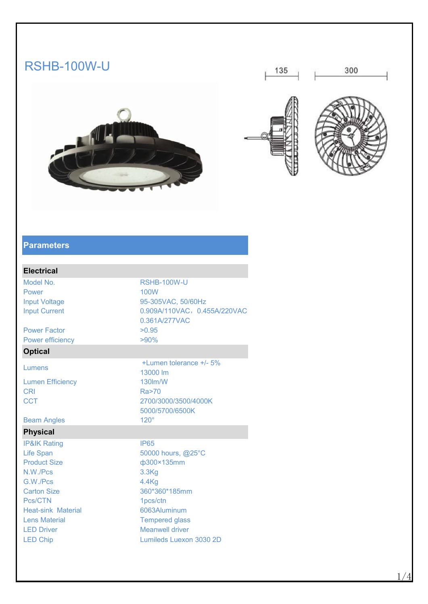# RSHB-100W-U











#### **Parameters**

### **Electrical**

Model No. **RSHB-100W-U** Power and the contract of the 100W and the contract of the contract of the contract of the contract of the contract of the contract of the contract of the contract of the contract of the contract of the contract of the con

Power Factor  $>0.95$ Power efficiency  $>90\%$ 

## **Optical**

Lumen Efficiency 130lm/W

#### Beam Angles 120°

#### **Physical**

**IP&IK Rating IP65** Product Size ф300×135mm N.W./Pcs 3.3Kg G.W./Pcs 4.4Kg Pcs/CTN 1pcs/ctn Heat-sink Material 6063Aluminum Lens Material Tempered glass LED Driver **Meanwell** driver

Input Voltage 95-305VAC, 50/60Hz Input Current 0.909A/110VAC, 0.455A/220VAC, 0.361A/277VAC Lumens +/- 5% 13000 lm CRI Ra>70 CCT 2700/3000/3500/4000K 5000/5700/6500K Life Span 50000 hours, @25°C

Carton Size 360\*360\*185mm LED Chip Lumileds Luexon 3030 2D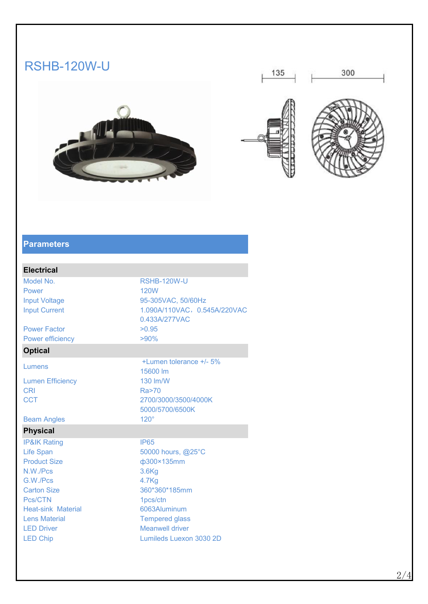# RSHB-120W-U











#### **Parameters**

#### **Electrical**

Model No. 2008 RSHB-120W-U

Power Factor  $>0.95$ Power efficiency  $>90\%$ 

### **Optical**

Lumen Efficiency 130 lm/W

Beam Angles 120°

#### **Physical**

**IP&IK Rating IP65** Product Size **b**  $\phi$ 300×135mm N.W./Pcs 3.6Kg G.W./Pcs 4.7Kg Carton Size 360\*360\*185mm Pcs/CTN 1pcs/ctn Heat-sink Material 6063Aluminum Lens Material Tempered glass LED Driver **Meanwell** driver LED Chip Lumileds Luexon 3030 2D

Power **120W Power 120W** Input Voltage 95-305VAC, 50/60Hz Input Current 1.090A/110VAC, 0.545A/220VAC, 0.433A/277VAC Lumens +/- 5% 15600 lm CRI Ra>70 CCT 2700/3000/3500/4000K 5000/5700/6500K

Life Span 50000 hours, @25°C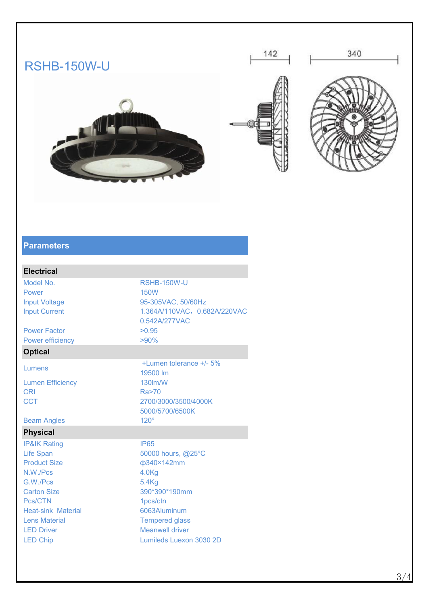# RSHB-150W-U









#### **Parameters**

### **Electrical**

Model No. 2008 RSHB-150W-U Power **150W Power 150W** 

Power Factor  $>0.95$ Power efficiency  $>90\%$ 

# **Optical**

Lumen Efficiency 130lm/W

#### Beam Angles 120°

#### **Physical**

**IP&IK Rating IP65** Product Size  $\phi$ 340×142mm N.W./Pcs 4.0Kg G.W./Pcs 5.4Kg Pcs/CTN 1pcs/ctn Heat-sink Material 6063Aluminum Lens Material **Tempered glass** LED Driver **Meanwell** driver

Input Voltage 95-305VAC, 50/60Hz Input Current 1.364A/110VAC, 0.682A/220VAC, 0.542A/277VAC Lumens  $+$ Lumen tolerance  $+$ /- 5% 19500 lm CRI Ra>70 CCT 2700/3000/3500/4000K 5000/5700/6500K Life Span 50000 hours, @25°C

Carton Size 390\*390\*190mm LED Chip Lumileds Luexon 3030 2D